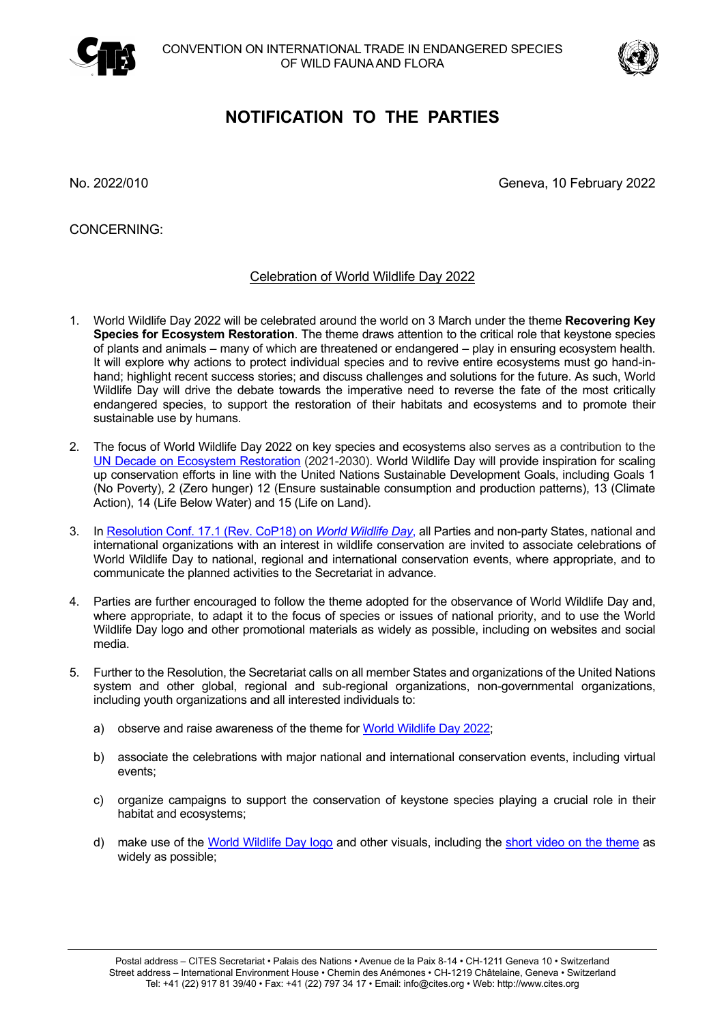



## **NOTIFICATION TO THE PARTIES**

No. 2022/010 Geneva, 10 February 2022

CONCERNING:

## Celebration of World Wildlife Day 2022

- 1. World Wildlife Day 2022 will be celebrated around the world on 3 March under the theme **Recovering Key Species for Ecosystem Restoration**. The theme draws attention to the critical role that keystone species of plants and animals – many of which are threatened or endangered – play in ensuring ecosystem health. It will explore why actions to protect individual species and to revive entire ecosystems must go hand-inhand; highlight recent success stories; and discuss challenges and solutions for the future. As such, World Wildlife Day will drive the debate towards the imperative need to reverse the fate of the most critically endangered species, to support the restoration of their habitats and ecosystems and to promote their sustainable use by humans.
- 2. The focus of World Wildlife Day 2022 on key species and ecosystems also serves as a contribution to the UN Decade on Ecosystem Restoration (2021-2030). World Wildlife Day will provide inspiration for scaling up conservation efforts in line with the United Nations Sustainable Development Goals, including Goals 1 (No Poverty), 2 (Zero hunger) 12 (Ensure sustainable consumption and production patterns), 13 (Climate Action), 14 (Life Below Water) and 15 (Life on Land).
- 3. In Resolution Conf. 17.1 (Rev. CoP18) on *World Wildlife Day*, all Parties and non-party States, national and international organizations with an interest in wildlife conservation are invited to associate celebrations of World Wildlife Day to national, regional and international conservation events, where appropriate, and to communicate the planned activities to the Secretariat in advance.
- 4. Parties are further encouraged to follow the theme adopted for the observance of World Wildlife Day and, where appropriate, to adapt it to the focus of species or issues of national priority, and to use the World Wildlife Day logo and other promotional materials as widely as possible, including on websites and social media.
- 5. Further to the Resolution, the Secretariat calls on all member States and organizations of the United Nations system and other global, regional and sub-regional organizations, non-governmental organizations, including youth organizations and all interested individuals to:
	- a) observe and raise awareness of the theme for World Wildlife Day 2022;
	- b) associate the celebrations with major national and international conservation events, including virtual events;
	- c) organize campaigns to support the conservation of keystone species playing a crucial role in their habitat and ecosystems;
	- d) make use of the World Wildlife Day logo and other visuals, including the short video on the theme as widely as possible;